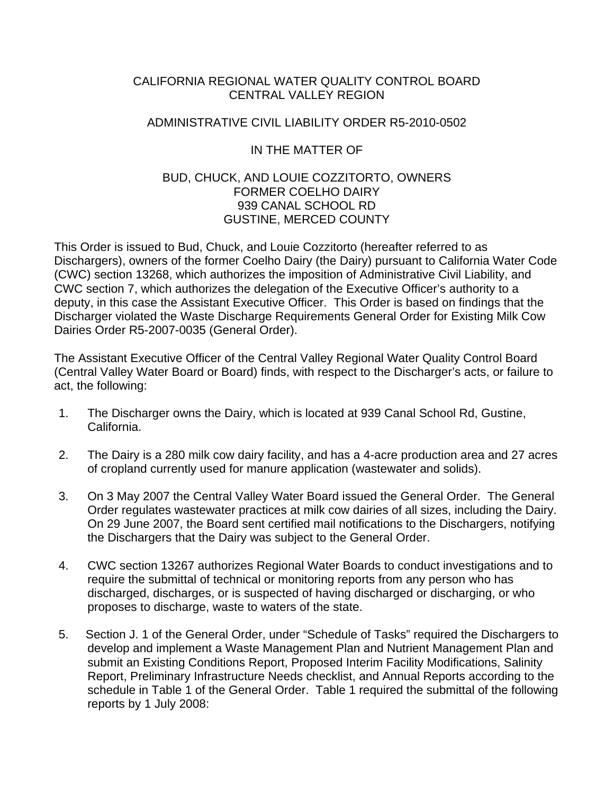#### CALIFORNIA REGIONAL WATER QUALITY CONTROL BOARD CENTRAL VALLEY REGION

#### ADMINISTRATIVE CIVIL LIABILITY ORDER R5-2010-0502

#### IN THE MATTER OF

#### BUD, CHUCK, AND LOUIE COZZITORTO, OWNERS FORMER COELHO DAIRY 939 CANAL SCHOOL RD GUSTINE, MERCED COUNTY

This Order is issued to Bud, Chuck, and Louie Cozzitorto (hereafter referred to as Dischargers), owners of the former Coelho Dairy (the Dairy) pursuant to California Water Code (CWC) section 13268, which authorizes the imposition of Administrative Civil Liability, and CWC section 7, which authorizes the delegation of the Executive Officer's authority to a deputy, in this case the Assistant Executive Officer. This Order is based on findings that the Discharger violated the Waste Discharge Requirements General Order for Existing Milk Cow Dairies Order R5-2007-0035 (General Order).

The Assistant Executive Officer of the Central Valley Regional Water Quality Control Board (Central Valley Water Board or Board) finds, with respect to the Discharger's acts, or failure to act, the following:

- 1. The Discharger owns the Dairy, which is located at 939 Canal School Rd, Gustine, California.
- 2. The Dairy is a 280 milk cow dairy facility, and has a 4-acre production area and 27 acres of cropland currently used for manure application (wastewater and solids).
- 3. On 3 May 2007 the Central Valley Water Board issued the General Order. The General Order regulates wastewater practices at milk cow dairies of all sizes, including the Dairy. On 29 June 2007, the Board sent certified mail notifications to the Dischargers, notifying the Dischargers that the Dairy was subject to the General Order.
- 4. CWC section 13267 authorizes Regional Water Boards to conduct investigations and to require the submittal of technical or monitoring reports from any person who has discharged, discharges, or is suspected of having discharged or discharging, or who proposes to discharge, waste to waters of the state.
- 5. Section J. 1 of the General Order, under "Schedule of Tasks" required the Dischargers to develop and implement a Waste Management Plan and Nutrient Management Plan and submit an Existing Conditions Report, Proposed Interim Facility Modifications, Salinity Report, Preliminary Infrastructure Needs checklist, and Annual Reports according to the schedule in Table 1 of the General Order. Table 1 required the submittal of the following reports by 1 July 2008: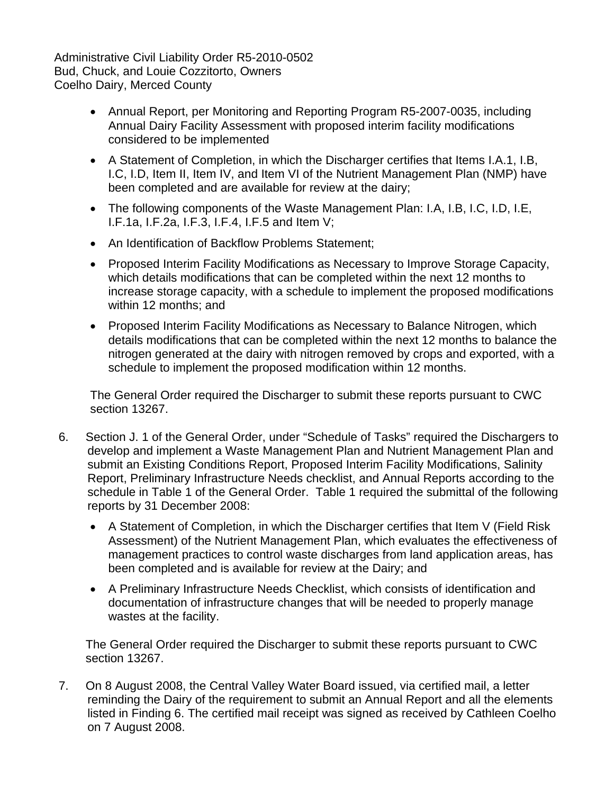- Annual Report, per Monitoring and Reporting Program R5-2007-0035, including Annual Dairy Facility Assessment with proposed interim facility modifications considered to be implemented
- A Statement of Completion, in which the Discharger certifies that Items I.A.1, I.B, I.C, I.D, Item II, Item IV, and Item VI of the Nutrient Management Plan (NMP) have been completed and are available for review at the dairy;
- The following components of the Waste Management Plan: I.A, I.B, I.C, I.D, I.E, I.F.1a, I.F.2a, I.F.3, I.F.4, I.F.5 and Item V;
- An Identification of Backflow Problems Statement;
- Proposed Interim Facility Modifications as Necessary to Improve Storage Capacity, which details modifications that can be completed within the next 12 months to increase storage capacity, with a schedule to implement the proposed modifications within 12 months; and
- Proposed Interim Facility Modifications as Necessary to Balance Nitrogen, which details modifications that can be completed within the next 12 months to balance the nitrogen generated at the dairy with nitrogen removed by crops and exported, with a schedule to implement the proposed modification within 12 months.

The General Order required the Discharger to submit these reports pursuant to CWC section 13267.

- 6. Section J. 1 of the General Order, under "Schedule of Tasks" required the Dischargers to develop and implement a Waste Management Plan and Nutrient Management Plan and submit an Existing Conditions Report, Proposed Interim Facility Modifications, Salinity Report, Preliminary Infrastructure Needs checklist, and Annual Reports according to the schedule in Table 1 of the General Order. Table 1 required the submittal of the following reports by 31 December 2008:
	- A Statement of Completion, in which the Discharger certifies that Item V (Field Risk Assessment) of the Nutrient Management Plan, which evaluates the effectiveness of management practices to control waste discharges from land application areas, has been completed and is available for review at the Dairy; and
	- A Preliminary Infrastructure Needs Checklist, which consists of identification and documentation of infrastructure changes that will be needed to properly manage wastes at the facility.

The General Order required the Discharger to submit these reports pursuant to CWC section 13267.

7. On 8 August 2008, the Central Valley Water Board issued, via certified mail, a letter reminding the Dairy of the requirement to submit an Annual Report and all the elements listed in Finding 6. The certified mail receipt was signed as received by Cathleen Coelho on 7 August 2008.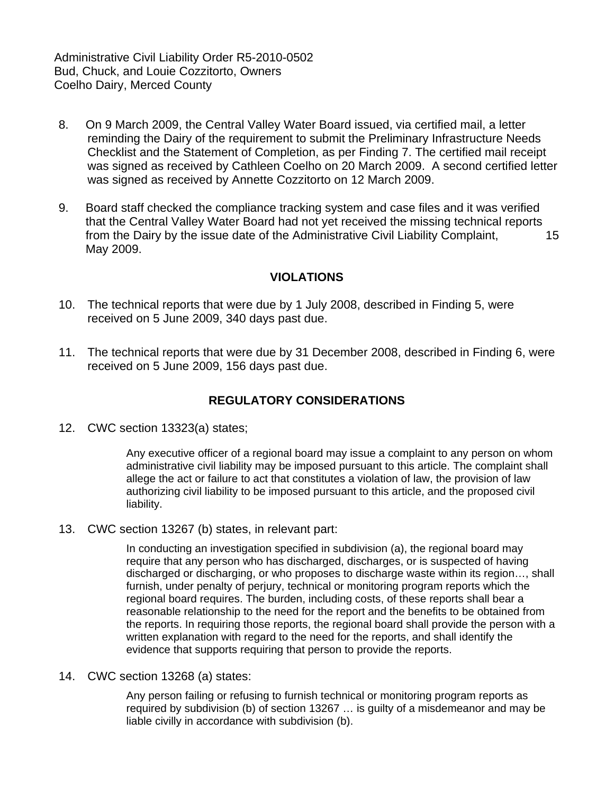- 8. On 9 March 2009, the Central Valley Water Board issued, via certified mail, a letter reminding the Dairy of the requirement to submit the Preliminary Infrastructure Needs Checklist and the Statement of Completion, as per Finding 7. The certified mail receipt was signed as received by Cathleen Coelho on 20 March 2009. A second certified letter was signed as received by Annette Cozzitorto on 12 March 2009.
- 9. Board staff checked the compliance tracking system and case files and it was verified that the Central Valley Water Board had not yet received the missing technical reports from the Dairy by the issue date of the Administrative Civil Liability Complaint, 15 May 2009.

## **VIOLATIONS**

- 10. The technical reports that were due by 1 July 2008, described in Finding 5, were received on 5 June 2009, 340 days past due.
- 11. The technical reports that were due by 31 December 2008, described in Finding 6, were received on 5 June 2009, 156 days past due.

## **REGULATORY CONSIDERATIONS**

12. CWC section 13323(a) states;

Any executive officer of a regional board may issue a complaint to any person on whom administrative civil liability may be imposed pursuant to this article. The complaint shall allege the act or failure to act that constitutes a violation of law, the provision of law authorizing civil liability to be imposed pursuant to this article, and the proposed civil liability.

13. CWC section 13267 (b) states, in relevant part:

In conducting an investigation specified in subdivision (a), the regional board may require that any person who has discharged, discharges, or is suspected of having discharged or discharging, or who proposes to discharge waste within its region…, shall furnish, under penalty of perjury, technical or monitoring program reports which the regional board requires. The burden, including costs, of these reports shall bear a reasonable relationship to the need for the report and the benefits to be obtained from the reports. In requiring those reports, the regional board shall provide the person with a written explanation with regard to the need for the reports, and shall identify the evidence that supports requiring that person to provide the reports.

14. CWC section 13268 (a) states:

Any person failing or refusing to furnish technical or monitoring program reports as required by subdivision (b) of section 13267 … is guilty of a misdemeanor and may be liable civilly in accordance with subdivision (b).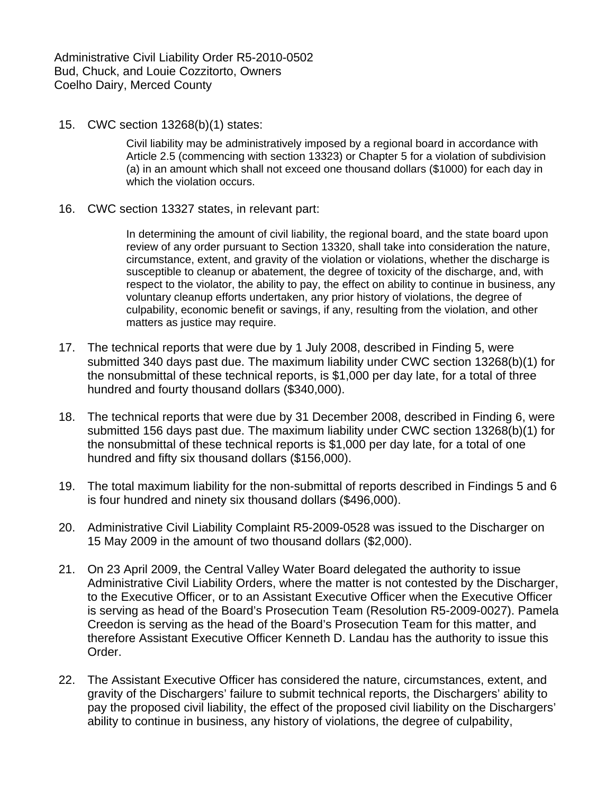15. CWC section 13268(b)(1) states:

Civil liability may be administratively imposed by a regional board in accordance with Article 2.5 (commencing with section 13323) or Chapter 5 for a violation of subdivision (a) in an amount which shall not exceed one thousand dollars (\$1000) for each day in which the violation occurs.

16. CWC section 13327 states, in relevant part:

In determining the amount of civil liability, the regional board, and the state board upon review of any order pursuant to Section 13320, shall take into consideration the nature, circumstance, extent, and gravity of the violation or violations, whether the discharge is susceptible to cleanup or abatement, the degree of toxicity of the discharge, and, with respect to the violator, the ability to pay, the effect on ability to continue in business, any voluntary cleanup efforts undertaken, any prior history of violations, the degree of culpability, economic benefit or savings, if any, resulting from the violation, and other matters as justice may require.

- 17. The technical reports that were due by 1 July 2008, described in Finding 5, were submitted 340 days past due. The maximum liability under CWC section 13268(b)(1) for the nonsubmittal of these technical reports, is \$1,000 per day late, for a total of three hundred and fourty thousand dollars (\$340,000).
- 18. The technical reports that were due by 31 December 2008, described in Finding 6, were submitted 156 days past due. The maximum liability under CWC section 13268(b)(1) for the nonsubmittal of these technical reports is \$1,000 per day late, for a total of one hundred and fifty six thousand dollars (\$156,000).
- 19. The total maximum liability for the non-submittal of reports described in Findings 5 and 6 is four hundred and ninety six thousand dollars (\$496,000).
- 20. Administrative Civil Liability Complaint R5-2009-0528 was issued to the Discharger on 15 May 2009 in the amount of two thousand dollars (\$2,000).
- 21. On 23 April 2009, the Central Valley Water Board delegated the authority to issue Administrative Civil Liability Orders, where the matter is not contested by the Discharger, to the Executive Officer, or to an Assistant Executive Officer when the Executive Officer is serving as head of the Board's Prosecution Team (Resolution R5-2009-0027). Pamela Creedon is serving as the head of the Board's Prosecution Team for this matter, and therefore Assistant Executive Officer Kenneth D. Landau has the authority to issue this Order.
- 22. The Assistant Executive Officer has considered the nature, circumstances, extent, and gravity of the Dischargers' failure to submit technical reports, the Dischargers' ability to pay the proposed civil liability, the effect of the proposed civil liability on the Dischargers' ability to continue in business, any history of violations, the degree of culpability,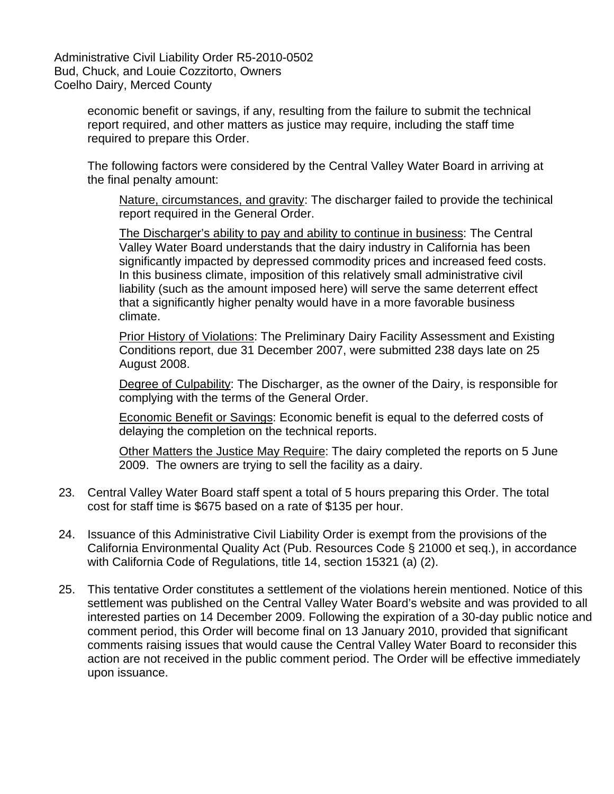> economic benefit or savings, if any, resulting from the failure to submit the technical report required, and other matters as justice may require, including the staff time required to prepare this Order.

The following factors were considered by the Central Valley Water Board in arriving at the final penalty amount:

Nature, circumstances, and gravity: The discharger failed to provide the techinical report required in the General Order.

The Discharger's ability to pay and ability to continue in business: The Central Valley Water Board understands that the dairy industry in California has been significantly impacted by depressed commodity prices and increased feed costs. In this business climate, imposition of this relatively small administrative civil liability (such as the amount imposed here) will serve the same deterrent effect that a significantly higher penalty would have in a more favorable business climate.

Prior History of Violations: The Preliminary Dairy Facility Assessment and Existing Conditions report, due 31 December 2007, were submitted 238 days late on 25 August 2008.

Degree of Culpability: The Discharger, as the owner of the Dairy, is responsible for complying with the terms of the General Order.

Economic Benefit or Savings: Economic benefit is equal to the deferred costs of delaying the completion on the technical reports.

Other Matters the Justice May Require: The dairy completed the reports on 5 June 2009. The owners are trying to sell the facility as a dairy.

- 23. Central Valley Water Board staff spent a total of 5 hours preparing this Order. The total cost for staff time is \$675 based on a rate of \$135 per hour.
- 24. Issuance of this Administrative Civil Liability Order is exempt from the provisions of the California Environmental Quality Act (Pub. Resources Code § 21000 et seq.), in accordance with California Code of Regulations, title 14, section 15321 (a) (2).
- 25. This tentative Order constitutes a settlement of the violations herein mentioned. Notice of this settlement was published on the Central Valley Water Board's website and was provided to all interested parties on 14 December 2009. Following the expiration of a 30-day public notice and comment period, this Order will become final on 13 January 2010, provided that significant comments raising issues that would cause the Central Valley Water Board to reconsider this action are not received in the public comment period. The Order will be effective immediately upon issuance.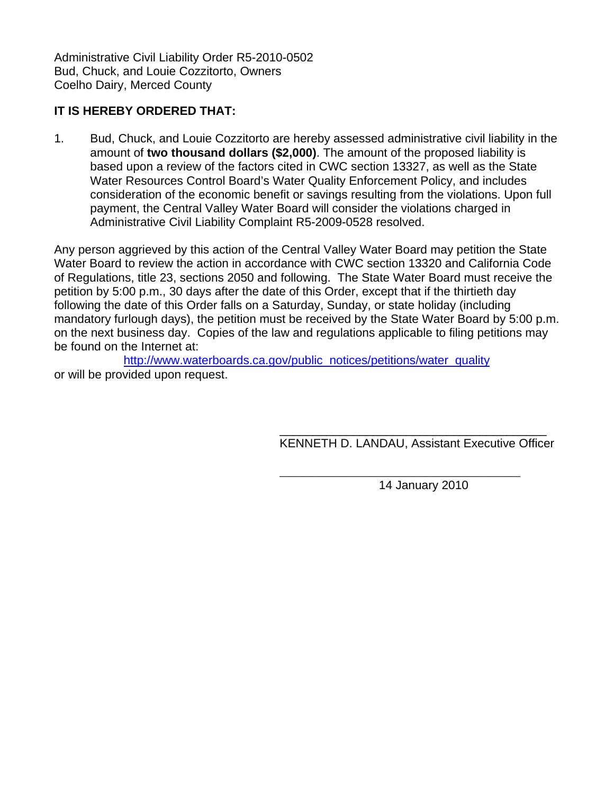# **IT IS HEREBY ORDERED THAT:**

1. Bud, Chuck, and Louie Cozzitorto are hereby assessed administrative civil liability in the amount of **two thousand dollars (\$2,000)**. The amount of the proposed liability is based upon a review of the factors cited in CWC section 13327, as well as the State Water Resources Control Board's Water Quality Enforcement Policy, and includes consideration of the economic benefit or savings resulting from the violations. Upon full payment, the Central Valley Water Board will consider the violations charged in Administrative Civil Liability Complaint R5-2009-0528 resolved.

Any person aggrieved by this action of the Central Valley Water Board may petition the State Water Board to review the action in accordance with CWC section 13320 and California Code of Regulations, title 23, sections 2050 and following. The State Water Board must receive the petition by 5:00 p.m., 30 days after the date of this Order, except that if the thirtieth day following the date of this Order falls on a Saturday, Sunday, or state holiday (including mandatory furlough days), the petition must be received by the State Water Board by 5:00 p.m. on the next business day. Copies of the law and regulations applicable to filing petitions may be found on the Internet at:

[http://www.waterboards.ca.gov/public\\_notices/petitions/water\\_quality](http://www.waterboards.ca.gov/public_notices/petitions/water_quality) or will be provided upon request.

 $\overline{\phantom{a}}$  , which is a set of the set of the set of the set of the set of the set of the set of the set of the set of the set of the set of the set of the set of the set of the set of the set of the set of the set of th

 $\overline{\phantom{a}}$  , and the contract of the contract of the contract of the contract of the contract of the contract of the contract of the contract of the contract of the contract of the contract of the contract of the contrac KENNETH D. LANDAU, Assistant Executive Officer

14 January 2010